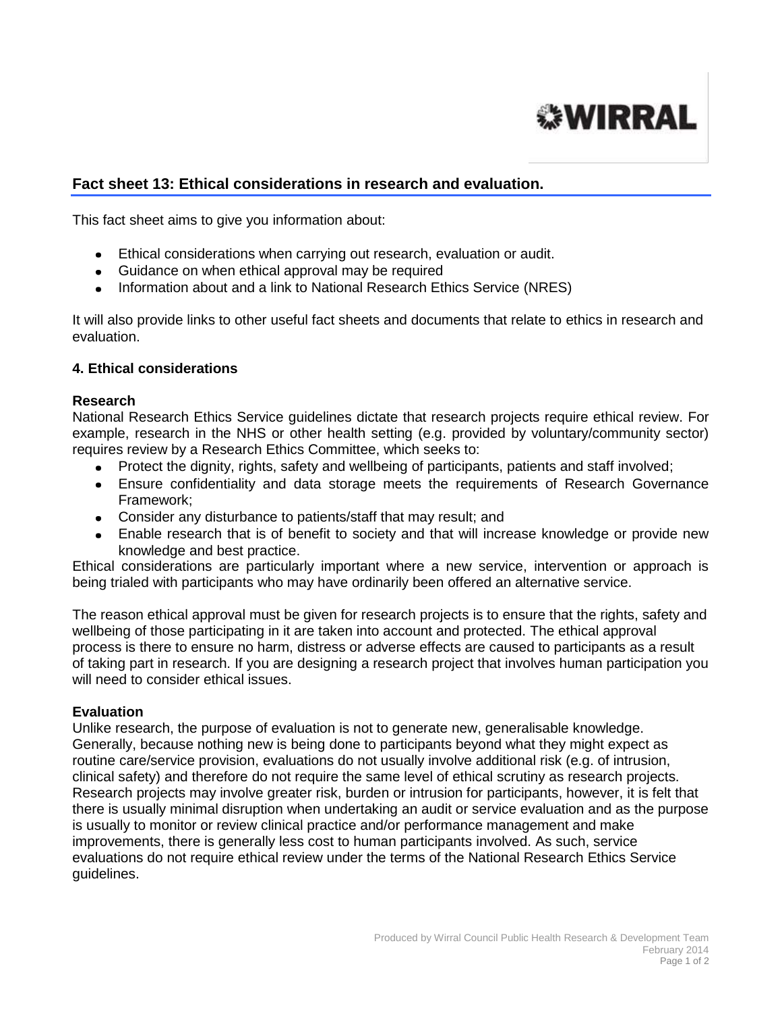

# **Fact sheet 13: Ethical considerations in research and evaluation.**

This fact sheet aims to give you information about:

- Ethical considerations when carrying out research, evaluation or audit.
- Guidance on when ethical approval may be required
- Information about and a link to National Research Ethics Service (NRES)

It will also provide links to other useful fact sheets and documents that relate to ethics in research and evaluation.

# **4. Ethical considerations**

# **Research**

National Research Ethics Service guidelines dictate that research projects require ethical review. For example, research in the NHS or other health setting (e.g. provided by voluntary/community sector) requires review by a Research Ethics Committee, which seeks to:

- Protect the dignity, rights, safety and wellbeing of participants, patients and staff involved;
- Ensure confidentiality and data storage meets the requirements of Research Governance Framework;
- Consider any disturbance to patients/staff that may result; and
- Enable research that is of benefit to society and that will increase knowledge or provide new knowledge and best practice.

Ethical considerations are particularly important where a new service, intervention or approach is being trialed with participants who may have ordinarily been offered an alternative service.

The reason ethical approval must be given for research projects is to ensure that the rights, safety and wellbeing of those participating in it are taken into account and protected. The ethical approval process is there to ensure no harm, distress or adverse effects are caused to participants as a result of taking part in research. If you are designing a research project that involves human participation you will need to consider ethical issues.

### **Evaluation**

Unlike research, the purpose of evaluation is not to generate new, generalisable knowledge. Generally, because nothing new is being done to participants beyond what they might expect as routine care/service provision, evaluations do not usually involve additional risk (e.g. of intrusion, clinical safety) and therefore do not require the same level of ethical scrutiny as research projects. Research projects may involve greater risk, burden or intrusion for participants, however, it is felt that there is usually minimal disruption when undertaking an audit or service evaluation and as the purpose is usually to monitor or review clinical practice and/or performance management and make improvements, there is generally less cost to human participants involved. As such, service evaluations do not require ethical review under the terms of the National Research Ethics Service guidelines.